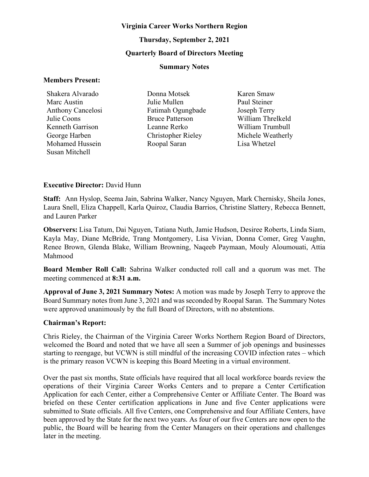#### **Virginia Career Works Northern Region**

# **Thursday, September 2, 2021 Quarterly Board of Directors Meeting**

#### **Summary Notes**

#### **Members Present:**

Shakera Alvarado Marc Austin Anthony Cancelosi Julie Coons Kenneth Garrison George Harben Mohamed Hussein Susan Mitchell

Donna Motsek Julie Mullen Fatimah Ogungbade Bruce Patterson Leanne Rerko Christopher Rieley Roopal Saran

Karen Smaw Paul Steiner Joseph Terry William Threlkeld William Trumbull Michele Weatherly Lisa Whetzel

## **Executive Director:** David Hunn

**Staff:** Ann Hyslop, Seema Jain, Sabrina Walker, Nancy Nguyen, Mark Chernisky, Sheila Jones, Laura Snell, Eliza Chappell, Karla Quiroz, Claudia Barrios, Christine Slattery, Rebecca Bennett, and Lauren Parker

**Observers:** Lisa Tatum, Dai Nguyen, Tatiana Nuth, Jamie Hudson, Desiree Roberts, Linda Siam, Kayla May, Diane McBride, Trang Montgomery, Lisa Vivian, Donna Comer, Greg Vaughn, Renee Brown, Glenda Blake, William Browning, Naqeeb Paymaan, Mouly Aloumouati, Attia Mahmood

**Board Member Roll Call:** Sabrina Walker conducted roll call and a quorum was met. The meeting commenced at **8:31 a.m.**

**Approval of June 3, 2021 Summary Notes:** A motion was made by Joseph Terry to approve the Board Summary notes from June 3, 2021 and was seconded by Roopal Saran. The Summary Notes were approved unanimously by the full Board of Directors, with no abstentions.

## **Chairman's Report:**

Chris Rieley, the Chairman of the Virginia Career Works Northern Region Board of Directors, welcomed the Board and noted that we have all seen a Summer of job openings and businesses starting to reengage, but VCWN is still mindful of the increasing COVID infection rates – which is the primary reason VCWN is keeping this Board Meeting in a virtual environment.

Over the past six months, State officials have required that all local workforce boards review the operations of their Virginia Career Works Centers and to prepare a Center Certification Application for each Center, either a Comprehensive Center or Affiliate Center. The Board was briefed on these Center certification applications in June and five Center applications were submitted to State officials. All five Centers, one Comprehensive and four Affiliate Centers, have been approved by the State for the next two years. As four of our five Centers are now open to the public, the Board will be hearing from the Center Managers on their operations and challenges later in the meeting.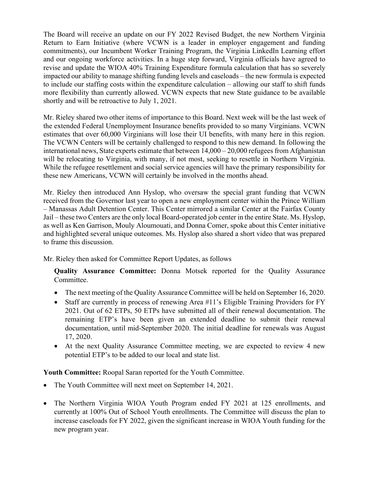The Board will receive an update on our FY 2022 Revised Budget, the new Northern Virginia Return to Earn Initiative (where VCWN is a leader in employer engagement and funding commitments), our Incumbent Worker Training Program, the Virginia LinkedIn Learning effort and our ongoing workforce activities. In a huge step forward, Virginia officials have agreed to revise and update the WIOA 40% Training Expenditure formula calculation that has so severely impacted our ability to manage shifting funding levels and caseloads – the new formula is expected to include our staffing costs within the expenditure calculation – allowing our staff to shift funds more flexibility than currently allowed. VCWN expects that new State guidance to be available shortly and will be retroactive to July 1, 2021.

Mr. Rieley shared two other items of importance to this Board. Next week will be the last week of the extended Federal Unemployment Insurance benefits provided to so many Virginians. VCWN estimates that over 60,000 Virginians will lose their UI benefits, with many here in this region. The VCWN Centers will be certainly challenged to respond to this new demand. In following the international news, State experts estimate that between  $14,000 - 20,000$  refugees from Afghanistan will be relocating to Virginia, with many, if not most, seeking to resettle in Northern Virginia. While the refugee resettlement and social service agencies will have the primary responsibility for these new Americans, VCWN will certainly be involved in the months ahead.

Mr. Rieley then introduced Ann Hyslop, who oversaw the special grant funding that VCWN received from the Governor last year to open a new employment center within the Prince William – Manassas Adult Detention Center. This Center mirrored a similar Center at the Fairfax County Jail – these two Centers are the only local Board-operated job center in the entire State. Ms. Hyslop, as well as Ken Garrison, Mouly Aloumouati, and Donna Comer, spoke about this Center initiative and highlighted several unique outcomes. Ms. Hyslop also shared a short video that was prepared to frame this discussion.

Mr. Rieley then asked for Committee Report Updates, as follows

**Quality Assurance Committee:** Donna Motsek reported for the Quality Assurance Committee.

- The next meeting of the Quality Assurance Committee will be held on September 16, 2020.
- Staff are currently in process of renewing Area #11's Eligible Training Providers for FY 2021. Out of 62 ETPs, 50 ETPs have submitted all of their renewal documentation. The remaining ETP's have been given an extended deadline to submit their renewal documentation, until mid-September 2020. The initial deadline for renewals was August 17, 2020.
- At the next Quality Assurance Committee meeting, we are expected to review 4 new potential ETP's to be added to our local and state list.

**Youth Committee:** Roopal Saran reported for the Youth Committee.

- The Youth Committee will next meet on September 14, 2021.
- The Northern Virginia WIOA Youth Program ended FY 2021 at 125 enrollments, and currently at 100% Out of School Youth enrollments. The Committee will discuss the plan to increase caseloads for FY 2022, given the significant increase in WIOA Youth funding for the new program year.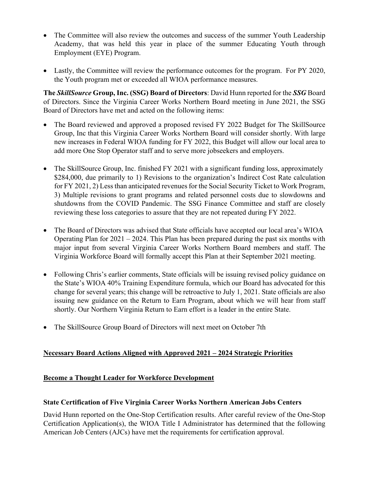- The Committee will also review the outcomes and success of the summer Youth Leadership Academy, that was held this year in place of the summer Educating Youth through Employment (EYE) Program.
- Lastly, the Committee will review the performance outcomes for the program. For PY 2020, the Youth program met or exceeded all WIOA performance measures.

**The** *SkillSource* **Group, Inc. (SSG) Board of Directors**: David Hunn reported for the *SSG* Board of Directors. Since the Virginia Career Works Northern Board meeting in June 2021, the SSG Board of Directors have met and acted on the following items:

- The Board reviewed and approved a proposed revised FY 2022 Budget for The SkillSource Group, Inc that this Virginia Career Works Northern Board will consider shortly. With large new increases in Federal WIOA funding for FY 2022, this Budget will allow our local area to add more One Stop Operator staff and to serve more jobseekers and employers.
- The SkillSource Group, Inc. finished FY 2021 with a significant funding loss, approximately \$284,000, due primarily to 1) Revisions to the organization's Indirect Cost Rate calculation for FY 2021, 2) Less than anticipated revenues for the Social Security Ticket to Work Program, 3) Multiple revisions to grant programs and related personnel costs due to slowdowns and shutdowns from the COVID Pandemic. The SSG Finance Committee and staff are closely reviewing these loss categories to assure that they are not repeated during FY 2022.
- The Board of Directors was advised that State officials have accepted our local area's WIOA Operating Plan for  $2021 - 2024$ . This Plan has been prepared during the past six months with major input from several Virginia Career Works Northern Board members and staff. The Virginia Workforce Board will formally accept this Plan at their September 2021 meeting.
- Following Chris's earlier comments, State officials will be issuing revised policy guidance on the State's WIOA 40% Training Expenditure formula, which our Board has advocated for this change for several years; this change will be retroactive to July 1, 2021. State officials are also issuing new guidance on the Return to Earn Program, about which we will hear from staff shortly. Our Northern Virginia Return to Earn effort is a leader in the entire State.
- The SkillSource Group Board of Directors will next meet on October 7th

## **Necessary Board Actions Aligned with Approved 2021 – 2024 Strategic Priorities**

## **Become a Thought Leader for Workforce Development**

## **State Certification of Five Virginia Career Works Northern American Jobs Centers**

David Hunn reported on the One-Stop Certification results. After careful review of the One-Stop Certification Application(s), the WIOA Title I Administrator has determined that the following American Job Centers (AJCs) have met the requirements for certification approval.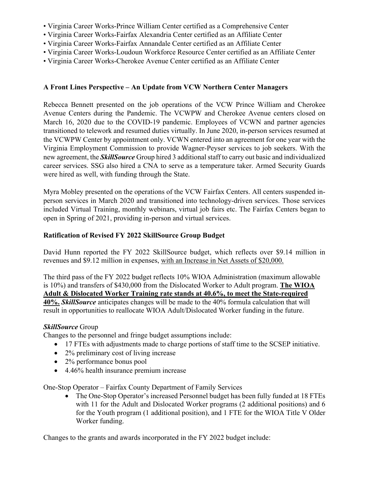- Virginia Career Works-Prince William Center certified as a Comprehensive Center
- Virginia Career Works-Fairfax Alexandria Center certified as an Affiliate Center
- Virginia Career Works-Fairfax Annandale Center certified as an Affiliate Center
- Virginia Career Works-Loudoun Workforce Resource Center certified as an Affiliate Center
- Virginia Career Works-Cherokee Avenue Center certified as an Affiliate Center

## **A Front Lines Perspective – An Update from VCW Northern Center Managers**

Rebecca Bennett presented on the job operations of the VCW Prince William and Cherokee Avenue Centers during the Pandemic. The VCWPW and Cherokee Avenue centers closed on March 16, 2020 due to the COVID-19 pandemic. Employees of VCWN and partner agencies transitioned to telework and resumed duties virtually. In June 2020, in-person services resumed at the VCWPW Center by appointment only. VCWN entered into an agreement for one year with the Virginia Employment Commission to provide Wagner-Peyser services to job seekers. With the new agreement, the *SkillSource* Group hired 3 additional staff to carry out basic and individualized career services. SSG also hired a CNA to serve as a temperature taker. Armed Security Guards were hired as well, with funding through the State.

Myra Mobley presented on the operations of the VCW Fairfax Centers. All centers suspended inperson services in March 2020 and transitioned into technology-driven services. Those services included Virtual Training, monthly webinars, virtual job fairs etc. The Fairfax Centers began to open in Spring of 2021, providing in-person and virtual services.

# **Ratification of Revised FY 2022 SkillSource Group Budget**

David Hunn reported the FY 2022 SkillSource budget, which reflects over \$9.14 million in revenues and \$9.12 million in expenses, with an Increase in Net Assets of \$20,000.

The third pass of the FY 2022 budget reflects 10% WIOA Administration (maximum allowable is 10%) and transfers of \$430,000 from the Dislocated Worker to Adult program. **The WIOA Adult & Dislocated Worker Training rate stands at 40.6%, to meet the State-required 40%.** *SkillSource* anticipates changes will be made to the 40% formula calculation that will result in opportunities to reallocate WIOA Adult/Dislocated Worker funding in the future.

## *SkillSource* Group

Changes to the personnel and fringe budget assumptions include:

- 17 FTEs with adjustments made to charge portions of staff time to the SCSEP initiative.
- 2% preliminary cost of living increase
- 2% performance bonus pool
- 4.46% health insurance premium increase

One-Stop Operator – Fairfax County Department of Family Services

• The One-Stop Operator's increased Personnel budget has been fully funded at 18 FTEs with 11 for the Adult and Dislocated Worker programs (2 additional positions) and 6 for the Youth program (1 additional position), and 1 FTE for the WIOA Title V Older Worker funding.

Changes to the grants and awards incorporated in the FY 2022 budget include: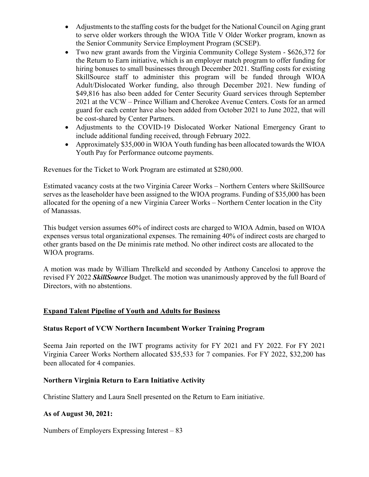- Adjustments to the staffing costs for the budget for the National Council on Aging grant to serve older workers through the WIOA Title V Older Worker program, known as the Senior Community Service Employment Program (SCSEP).
- Two new grant awards from the Virginia Community College System \$626,372 for the Return to Earn initiative, which is an employer match program to offer funding for hiring bonuses to small businesses through December 2021. Staffing costs for existing SkillSource staff to administer this program will be funded through WIOA Adult/Dislocated Worker funding, also through December 2021. New funding of \$49,816 has also been added for Center Security Guard services through September 2021 at the VCW – Prince William and Cherokee Avenue Centers. Costs for an armed guard for each center have also been added from October 2021 to June 2022, that will be cost-shared by Center Partners.
- Adjustments to the COVID-19 Dislocated Worker National Emergency Grant to include additional funding received, through February 2022.
- Approximately \$35,000 in WIOA Youth funding has been allocated towards the WIOA Youth Pay for Performance outcome payments.

Revenues for the Ticket to Work Program are estimated at \$280,000.

Estimated vacancy costs at the two Virginia Career Works – Northern Centers where SkillSource serves as the leaseholder have been assigned to the WIOA programs. Funding of \$35,000 has been allocated for the opening of a new Virginia Career Works – Northern Center location in the City of Manassas.

This budget version assumes 60% of indirect costs are charged to WIOA Admin, based on WIOA expenses versus total organizational expenses. The remaining 40% of indirect costs are charged to other grants based on the De minimis rate method. No other indirect costs are allocated to the WIOA programs.

A motion was made by William Threlkeld and seconded by Anthony Cancelosi to approve the revised FY 2022 *SkillSource* Budget. The motion was unanimously approved by the full Board of Directors, with no abstentions.

## **Expand Talent Pipeline of Youth and Adults for Business**

## **Status Report of VCW Northern Incumbent Worker Training Program**

Seema Jain reported on the IWT programs activity for FY 2021 and FY 2022. For FY 2021 Virginia Career Works Northern allocated \$35,533 for 7 companies. For FY 2022, \$32,200 has been allocated for 4 companies.

## **Northern Virginia Return to Earn Initiative Activity**

Christine Slattery and Laura Snell presented on the Return to Earn initiative.

## **As of August 30, 2021:**

Numbers of Employers Expressing Interest – 83